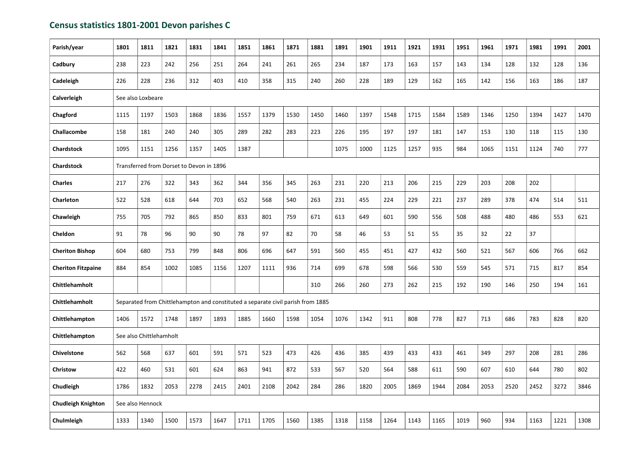## Census statistics 1801-2001 Devon parishes C

| Parish/year               | 1801                                     | 1811                    | 1821                                                                            | 1831 | 1841 | 1851 | 1861 | 1871 | 1881 | 1891 | 1901 | 1911 | 1921 | 1931 | 1951 | 1961 | 1971 | 1981 | 1991 | 2001 |
|---------------------------|------------------------------------------|-------------------------|---------------------------------------------------------------------------------|------|------|------|------|------|------|------|------|------|------|------|------|------|------|------|------|------|
| Cadbury                   | 238                                      | 223                     | 242                                                                             | 256  | 251  | 264  | 241  | 261  | 265  | 234  | 187  | 173  | 163  | 157  | 143  | 134  | 128  | 132  | 128  | 136  |
| Cadeleigh                 | 226                                      | 228                     | 236                                                                             | 312  | 403  | 410  | 358  | 315  | 240  | 260  | 228  | 189  | 129  | 162  | 165  | 142  | 156  | 163  | 186  | 187  |
| Calverleigh               |                                          | See also Loxbeare       |                                                                                 |      |      |      |      |      |      |      |      |      |      |      |      |      |      |      |      |      |
| Chagford                  | 1115                                     | 1197                    | 1503                                                                            | 1868 | 1836 | 1557 | 1379 | 1530 | 1450 | 1460 | 1397 | 1548 | 1715 | 1584 | 1589 | 1346 | 1250 | 1394 | 1427 | 1470 |
| Challacombe               | 158                                      | 181                     | 240                                                                             | 240  | 305  | 289  | 282  | 283  | 223  | 226  | 195  | 197  | 197  | 181  | 147  | 153  | 130  | 118  | 115  | 130  |
| <b>Chardstock</b>         | 1095                                     | 1151                    | 1256                                                                            | 1357 | 1405 | 1387 |      |      |      | 1075 | 1000 | 1125 | 1257 | 935  | 984  | 1065 | 1151 | 1124 | 740  | 777  |
| <b>Chardstock</b>         | Transferred from Dorset to Devon in 1896 |                         |                                                                                 |      |      |      |      |      |      |      |      |      |      |      |      |      |      |      |      |      |
| <b>Charles</b>            | 217                                      | 276                     | 322                                                                             | 343  | 362  | 344  | 356  | 345  | 263  | 231  | 220  | 213  | 206  | 215  | 229  | 203  | 208  | 202  |      |      |
| <b>Charleton</b>          | 522                                      | 528                     | 618                                                                             | 644  | 703  | 652  | 568  | 540  | 263  | 231  | 455  | 224  | 229  | 221  | 237  | 289  | 378  | 474  | 514  | 511  |
| Chawleigh                 | 755                                      | 705                     | 792                                                                             | 865  | 850  | 833  | 801  | 759  | 671  | 613  | 649  | 601  | 590  | 556  | 508  | 488  | 480  | 486  | 553  | 621  |
| Cheldon                   | 91                                       | 78                      | 96                                                                              | 90   | 90   | 78   | 97   | 82   | 70   | 58   | 46   | 53   | 51   | 55   | 35   | 32   | 22   | 37   |      |      |
| <b>Cheriton Bishop</b>    | 604                                      | 680                     | 753                                                                             | 799  | 848  | 806  | 696  | 647  | 591  | 560  | 455  | 451  | 427  | 432  | 560  | 521  | 567  | 606  | 766  | 662  |
| <b>Cheriton Fitzpaine</b> | 884                                      | 854                     | 1002                                                                            | 1085 | 1156 | 1207 | 1111 | 936  | 714  | 699  | 678  | 598  | 566  | 530  | 559  | 545  | 571  | 715  | 817  | 854  |
| Chittlehamholt            |                                          |                         |                                                                                 |      |      |      |      |      | 310  | 266  | 260  | 273  | 262  | 215  | 192  | 190  | 146  | 250  | 194  | 161  |
| Chittlehamholt            |                                          |                         | Separated from Chittlehampton and constituted a separate civil parish from 1885 |      |      |      |      |      |      |      |      |      |      |      |      |      |      |      |      |      |
| Chittlehampton            | 1406                                     | 1572                    | 1748                                                                            | 1897 | 1893 | 1885 | 1660 | 1598 | 1054 | 1076 | 1342 | 911  | 808  | 778  | 827  | 713  | 686  | 783  | 828  | 820  |
| Chittlehampton            |                                          | See also Chittlehamholt |                                                                                 |      |      |      |      |      |      |      |      |      |      |      |      |      |      |      |      |      |
| <b>Chivelstone</b>        | 562                                      | 568                     | 637                                                                             | 601  | 591  | 571  | 523  | 473  | 426  | 436  | 385  | 439  | 433  | 433  | 461  | 349  | 297  | 208  | 281  | 286  |
| Christow                  | 422                                      | 460                     | 531                                                                             | 601  | 624  | 863  | 941  | 872  | 533  | 567  | 520  | 564  | 588  | 611  | 590  | 607  | 610  | 644  | 780  | 802  |
| Chudleigh                 | 1786                                     | 1832                    | 2053                                                                            | 2278 | 2415 | 2401 | 2108 | 2042 | 284  | 286  | 1820 | 2005 | 1869 | 1944 | 2084 | 2053 | 2520 | 2452 | 3272 | 3846 |
| <b>Chudleigh Knighton</b> |                                          | See also Hennock        |                                                                                 |      |      |      |      |      |      |      |      |      |      |      |      |      |      |      |      |      |
| Chulmleigh                | 1333                                     | 1340                    | 1500                                                                            | 1573 | 1647 | 1711 | 1705 | 1560 | 1385 | 1318 | 1158 | 1264 | 1143 | 1165 | 1019 | 960  | 934  | 1163 | 1221 | 1308 |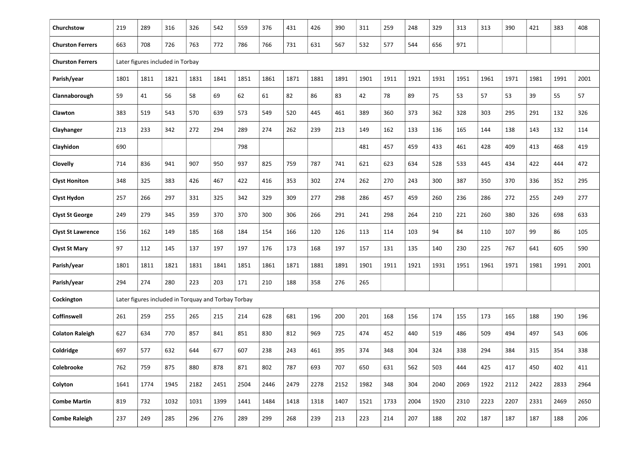| Churchstow               | 219                                                 | 289                              | 316  | 326  | 542  | 559  | 376  | 431  | 426  | 390  | 311  | 259  | 248  | 329  | 313  | 313  | 390  | 421  | 383  | 408  |
|--------------------------|-----------------------------------------------------|----------------------------------|------|------|------|------|------|------|------|------|------|------|------|------|------|------|------|------|------|------|
| <b>Churston Ferrers</b>  | 663                                                 | 708                              | 726  | 763  | 772  | 786  | 766  | 731  | 631  | 567  | 532  | 577  | 544  | 656  | 971  |      |      |      |      |      |
| <b>Churston Ferrers</b>  |                                                     | Later figures included in Torbay |      |      |      |      |      |      |      |      |      |      |      |      |      |      |      |      |      |      |
| Parish/year              | 1801                                                | 1811                             | 1821 | 1831 | 1841 | 1851 | 1861 | 1871 | 1881 | 1891 | 1901 | 1911 | 1921 | 1931 | 1951 | 1961 | 1971 | 1981 | 1991 | 2001 |
| Clannaborough            | 59                                                  | 41                               | 56   | 58   | 69   | 62   | 61   | 82   | 86   | 83   | 42   | 78   | 89   | 75   | 53   | 57   | 53   | 39   | 55   | 57   |
| Clawton                  | 383                                                 | 519                              | 543  | 570  | 639  | 573  | 549  | 520  | 445  | 461  | 389  | 360  | 373  | 362  | 328  | 303  | 295  | 291  | 132  | 326  |
| Clayhanger               | 213                                                 | 233                              | 342  | 272  | 294  | 289  | 274  | 262  | 239  | 213  | 149  | 162  | 133  | 136  | 165  | 144  | 138  | 143  | 132  | 114  |
| Clayhidon                | 690                                                 |                                  |      |      |      | 798  |      |      |      |      | 481  | 457  | 459  | 433  | 461  | 428  | 409  | 413  | 468  | 419  |
| <b>Clovelly</b>          | 714                                                 | 836                              | 941  | 907  | 950  | 937  | 825  | 759  | 787  | 741  | 621  | 623  | 634  | 528  | 533  | 445  | 434  | 422  | 444  | 472  |
| <b>Clyst Honiton</b>     | 348                                                 | 325                              | 383  | 426  | 467  | 422  | 416  | 353  | 302  | 274  | 262  | 270  | 243  | 300  | 387  | 350  | 370  | 336  | 352  | 295  |
| <b>Clyst Hydon</b>       | 257                                                 | 266                              | 297  | 331  | 325  | 342  | 329  | 309  | 277  | 298  | 286  | 457  | 459  | 260  | 236  | 286  | 272  | 255  | 249  | 277  |
| <b>Clyst St George</b>   | 249                                                 | 279                              | 345  | 359  | 370  | 370  | 300  | 306  | 266  | 291  | 241  | 298  | 264  | 210  | 221  | 260  | 380  | 326  | 698  | 633  |
| <b>Clyst St Lawrence</b> | 156                                                 | 162                              | 149  | 185  | 168  | 184  | 154  | 166  | 120  | 126  | 113  | 114  | 103  | 94   | 84   | 110  | 107  | 99   | 86   | 105  |
| <b>Clyst St Mary</b>     | 97                                                  | 112                              | 145  | 137  | 197  | 197  | 176  | 173  | 168  | 197  | 157  | 131  | 135  | 140  | 230  | 225  | 767  | 641  | 605  | 590  |
| Parish/year              | 1801                                                | 1811                             | 1821 | 1831 | 1841 | 1851 | 1861 | 1871 | 1881 | 1891 | 1901 | 1911 | 1921 | 1931 | 1951 | 1961 | 1971 | 1981 | 1991 | 2001 |
| Parish/year              | 294                                                 | 274                              | 280  | 223  | 203  | 171  | 210  | 188  | 358  | 276  | 265  |      |      |      |      |      |      |      |      |      |
| Cockington               | Later figures included in Torquay and Torbay Torbay |                                  |      |      |      |      |      |      |      |      |      |      |      |      |      |      |      |      |      |      |
| <b>Coffinswell</b>       | 261                                                 | 259                              | 255  | 265  | 215  | 214  | 628  | 681  | 196  | 200  | 201  | 168  | 156  | 174  | 155  | 173  | 165  | 188  | 190  | 196  |
| <b>Colaton Raleigh</b>   | 627                                                 | 634                              | 770  | 857  | 841  | 851  | 830  | 812  | 969  | 725  | 474  | 452  | 440  | 519  | 486  | 509  | 494  | 497  | 543  | 606  |
| Coldridge                | 697                                                 | 577                              | 632  | 644  | 677  | 607  | 238  | 243  | 461  | 395  | 374  | 348  | 304  | 324  | 338  | 294  | 384  | 315  | 354  | 338  |
| Colebrooke               | 762                                                 | 759                              | 875  | 880  | 878  | 871  | 802  | 787  | 693  | 707  | 650  | 631  | 562  | 503  | 444  | 425  | 417  | 450  | 402  | 411  |
| Colyton                  | 1641                                                | 1774                             | 1945 | 2182 | 2451 | 2504 | 2446 | 2479 | 2278 | 2152 | 1982 | 348  | 304  | 2040 | 2069 | 1922 | 2112 | 2422 | 2833 | 2964 |
| <b>Combe Martin</b>      | 819                                                 | 732                              | 1032 | 1031 | 1399 | 1441 | 1484 | 1418 | 1318 | 1407 | 1521 | 1733 | 2004 | 1920 | 2310 | 2223 | 2207 | 2331 | 2469 | 2650 |
| <b>Combe Raleigh</b>     | 237                                                 | 249                              | 285  | 296  | 276  | 289  | 299  | 268  | 239  | 213  | 223  | 214  | 207  | 188  | 202  | 187  | 187  | 187  | 188  | 206  |